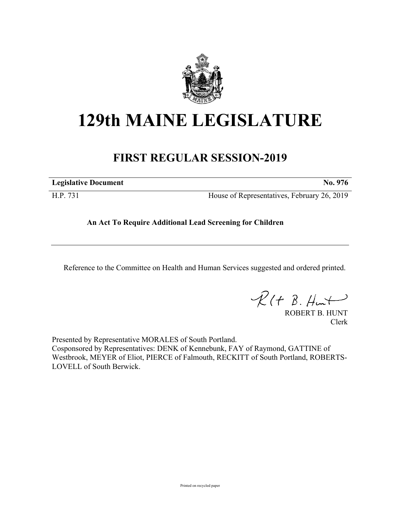

# **129th MAINE LEGISLATURE**

## **FIRST REGULAR SESSION-2019**

| <b>Legislative Document</b><br>$\mathbf{N}\mathbf{0}$ . |  |
|---------------------------------------------------------|--|
|                                                         |  |

H.P. 731 House of Representatives, February 26, 2019

### **An Act To Require Additional Lead Screening for Children**

Reference to the Committee on Health and Human Services suggested and ordered printed.

 $R(H B. HmH)$ 

ROBERT B. HUNT Clerk

Presented by Representative MORALES of South Portland. Cosponsored by Representatives: DENK of Kennebunk, FAY of Raymond, GATTINE of Westbrook, MEYER of Eliot, PIERCE of Falmouth, RECKITT of South Portland, ROBERTS-LOVELL of South Berwick.